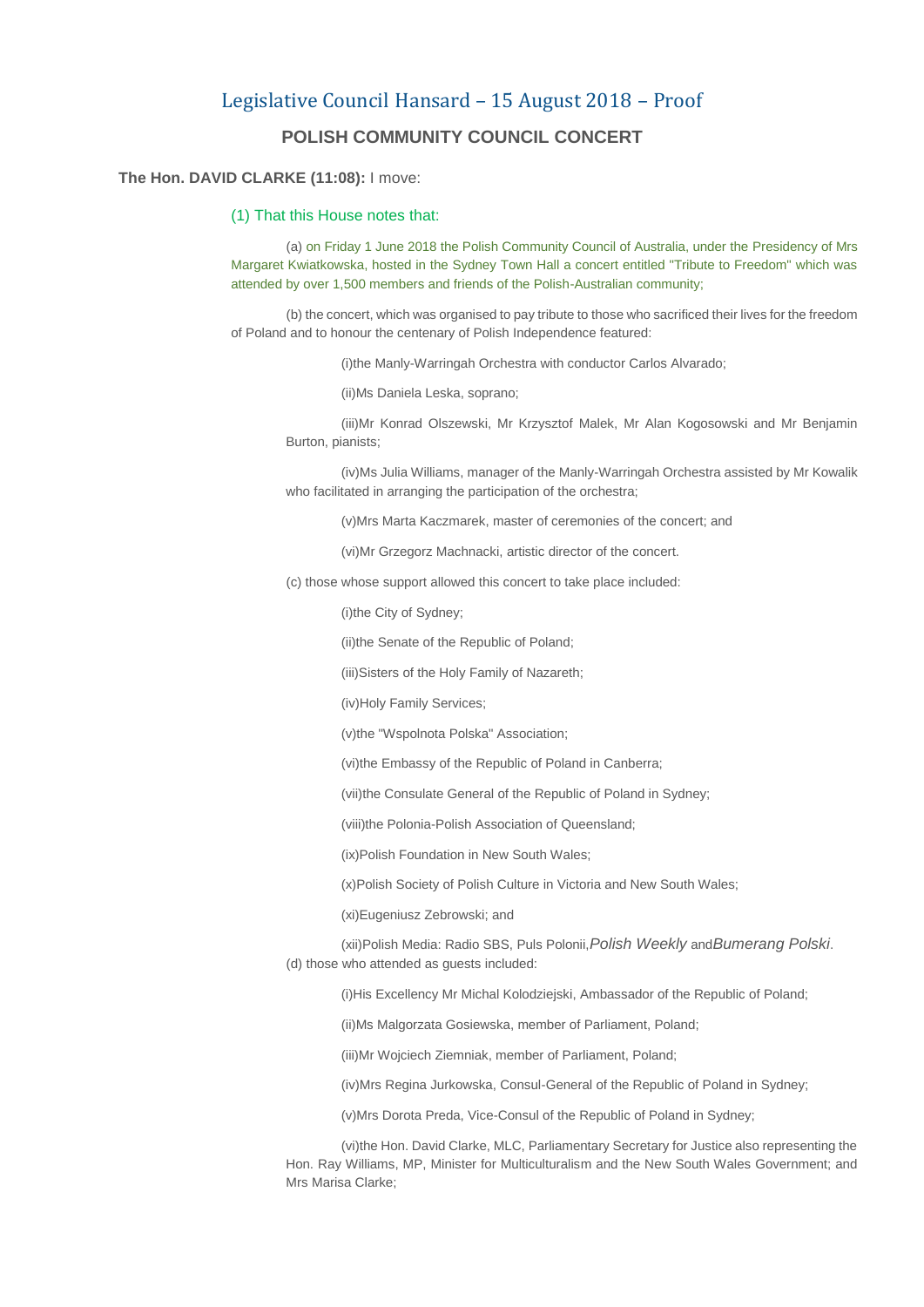## Legislative Council Hansard – 15 August 2018 – Proof **POLISH COMMUNITY COUNCIL CONCERT**

## **The Hon. DAVID CLARKE (11:08):** I move:

## (1) That this House notes that:

(a) on Friday 1 June 2018 the Polish Community Council of Australia, under the Presidency of Mrs Margaret Kwiatkowska, hosted in the Sydney Town Hall a concert entitled "Tribute to Freedom" which was attended by over 1,500 members and friends of the Polish-Australian community;

(b) the concert, which was organised to pay tribute to those who sacrificed their lives for the freedom of Poland and to honour the centenary of Polish Independence featured:

(i)the Manly-Warringah Orchestra with conductor Carlos Alvarado;

(ii)Ms Daniela Leska, soprano;

(iii)Mr Konrad Olszewski, Mr Krzysztof Malek, Mr Alan Kogosowski and Mr Benjamin Burton, pianists;

(iv)Ms Julia Williams, manager of the Manly-Warringah Orchestra assisted by Mr Kowalik who facilitated in arranging the participation of the orchestra;

(v)Mrs Marta Kaczmarek, master of ceremonies of the concert; and

(vi)Mr Grzegorz Machnacki, artistic director of the concert.

(c) those whose support allowed this concert to take place included:

(i)the City of Sydney;

(ii)the Senate of the Republic of Poland;

(iii)Sisters of the Holy Family of Nazareth;

(iv)Holy Family Services;

(v)the "Wspolnota Polska" Association;

(vi)the Embassy of the Republic of Poland in Canberra;

(vii)the Consulate General of the Republic of Poland in Sydney;

(viii)the Polonia-Polish Association of Queensland;

(ix)Polish Foundation in New South Wales;

(x)Polish Society of Polish Culture in Victoria and New South Wales;

(xi)Eugeniusz Zebrowski; and

(xii)Polish Media: Radio SBS, Puls Polonii,*Polish Weekly* and*Bumerang Polski*. (d) those who attended as guests included:

(i)His Excellency Mr Michal Kolodziejski, Ambassador of the Republic of Poland;

(ii)Ms Malgorzata Gosiewska, member of Parliament, Poland;

(iii)Mr Wojciech Ziemniak, member of Parliament, Poland;

(iv)Mrs Regina Jurkowska, Consul-General of the Republic of Poland in Sydney;

(v)Mrs Dorota Preda, Vice-Consul of the Republic of Poland in Sydney;

(vi)the Hon. David Clarke, MLC, Parliamentary Secretary for Justice also representing the Hon. Ray Williams, MP, Minister for Multiculturalism and the New South Wales Government; and Mrs Marisa Clarke;